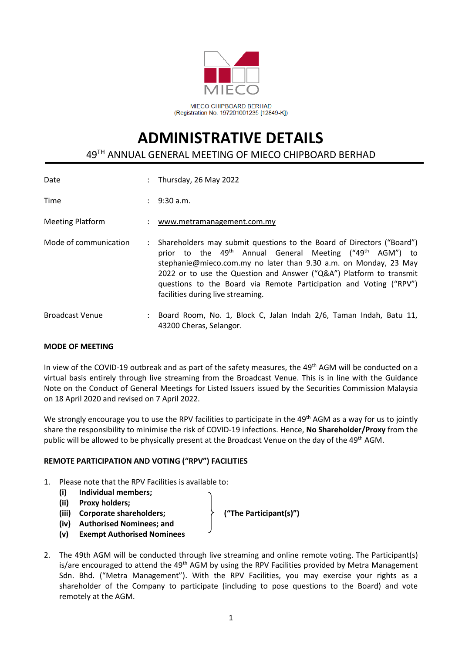

# **ADMINISTRATIVE DETAILS** 49 TH ANNUAL GENERAL MEETING OF MIECO CHIPBOARD BERHAD

| Date                    |                      | : Thursday, 26 May 2022                                                                                                                                                                                                                                                                                                                                                                                         |
|-------------------------|----------------------|-----------------------------------------------------------------------------------------------------------------------------------------------------------------------------------------------------------------------------------------------------------------------------------------------------------------------------------------------------------------------------------------------------------------|
| Time                    |                      | $: 9:30$ a.m.                                                                                                                                                                                                                                                                                                                                                                                                   |
| <b>Meeting Platform</b> |                      | : www.metramanagement.com.my                                                                                                                                                                                                                                                                                                                                                                                    |
| Mode of communication   | $\ddot{\phantom{a}}$ | Shareholders may submit questions to the Board of Directors ("Board")<br>prior to the 49 <sup>th</sup> Annual General Meeting ("49 <sup>th</sup> AGM") to<br>stephanie@mieco.com.my no later than 9.30 a.m. on Monday, 23 May<br>2022 or to use the Question and Answer ("Q&A") Platform to transmit<br>questions to the Board via Remote Participation and Voting ("RPV")<br>facilities during live streaming. |
| <b>Broadcast Venue</b>  |                      | Board Room, No. 1, Block C, Jalan Indah 2/6, Taman Indah, Batu 11,<br>43200 Cheras, Selangor.                                                                                                                                                                                                                                                                                                                   |

# **MODE OF MEETING**

In view of the COVID-19 outbreak and as part of the safety measures, the 49<sup>th</sup> AGM will be conducted on a virtual basis entirely through live streaming from the Broadcast Venue. This is in line with the Guidance Note on the Conduct of General Meetings for Listed Issuers issued by the Securities Commission Malaysia on 18 April 2020 and revised on 7 April 2022.

We strongly encourage you to use the RPV facilities to participate in the 49<sup>th</sup> AGM as a way for us to jointly share the responsibility to minimise the risk of COVID-19 infections. Hence, **No Shareholder/Proxy** from the public will be allowed to be physically present at the Broadcast Venue on the day of the 49<sup>th</sup> AGM.

# **REMOTE PARTICIPATION AND VOTING ("RPV") FACILITIES**

- 1. Please note that the RPV Facilities is available to:
	- **(i) Individual members;**
	- **(ii) Proxy holders;**
	- **(iii) Corporate shareholders; ("The Participant(s)")**
	- **(iv) Authorised Nominees; and**
	- **(v) Exempt Authorised Nominees**
- 2. The 49th AGM will be conducted through live streaming and online remote voting. The Participant(s) is/are encouraged to attend the 49<sup>th</sup> AGM by using the RPV Facilities provided by Metra Management Sdn. Bhd. ("Metra Management"). With the RPV Facilities, you may exercise your rights as a shareholder of the Company to participate (including to pose questions to the Board) and vote remotely at the AGM.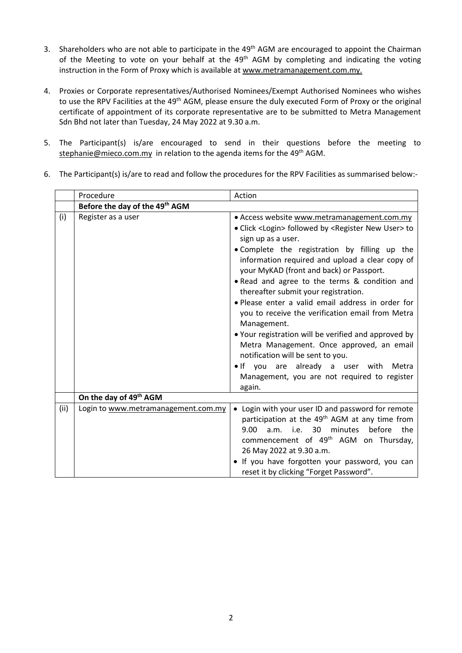- 3. Shareholders who are not able to participate in the 49<sup>th</sup> AGM are encouraged to appoint the Chairman of the Meeting to vote on your behalf at the 49<sup>th</sup> AGM by completing and indicating the voting instruction in the Form of Proxy which is available at www.metramanagement.com.my.
- 4. Proxies or Corporate representatives/Authorised Nominees/Exempt Authorised Nominees who wishes to use the RPV Facilities at the 49<sup>th</sup> AGM, please ensure the duly executed Form of Proxy or the original certificate of appointment of its corporate representative are to be submitted to Metra Management Sdn Bhd not later than Tuesday, 24 May 2022 at 9.30 a.m.
- 5. The Participant(s) is/are encouraged to send in their questions before the meeting to [stephanie@mieco.com.my](mailto:stephanie@mieco.com.my) in relation to the agenda items for the 49<sup>th</sup> AGM.
- 6. The Participant(s) is/are to read and follow the procedures for the RPV Facilities as summarised below:-

|      | Procedure                                  | Action                                                                                                                                                                                                                                                                                                                                                                                                                                                                                                                                                                                                                                                                                                                                                                                 |
|------|--------------------------------------------|----------------------------------------------------------------------------------------------------------------------------------------------------------------------------------------------------------------------------------------------------------------------------------------------------------------------------------------------------------------------------------------------------------------------------------------------------------------------------------------------------------------------------------------------------------------------------------------------------------------------------------------------------------------------------------------------------------------------------------------------------------------------------------------|
|      | Before the day of the 49 <sup>th</sup> AGM |                                                                                                                                                                                                                                                                                                                                                                                                                                                                                                                                                                                                                                                                                                                                                                                        |
| (i)  | Register as a user                         | • Access website www.metramanagement.com.my<br>• Click <login> followed by <register new="" user=""> to<br/>sign up as a user.<br/>. Complete the registration by filling up the<br/>information required and upload a clear copy of<br/>your MyKAD (front and back) or Passport.<br/>. Read and agree to the terms &amp; condition and<br/>thereafter submit your registration.<br/>· Please enter a valid email address in order for<br/>you to receive the verification email from Metra<br/>Management.<br/>. Your registration will be verified and approved by<br/>Metra Management. Once approved, an email<br/>notification will be sent to you.<br/>. If you are already a user with<br/>Metra<br/>Management, you are not required to register<br/>again.</register></login> |
|      | On the day of 49th AGM                     |                                                                                                                                                                                                                                                                                                                                                                                                                                                                                                                                                                                                                                                                                                                                                                                        |
| (ii) | Login to www.metramanagement.com.my        | • Login with your user ID and password for remote<br>participation at the 49 <sup>th</sup> AGM at any time from<br>9.00<br>i.e. 30<br>minutes before<br>the<br>a.m.<br>commencement of 49 <sup>th</sup> AGM on Thursday,<br>26 May 2022 at 9.30 a.m.<br>· If you have forgotten your password, you can<br>reset it by clicking "Forget Password".                                                                                                                                                                                                                                                                                                                                                                                                                                      |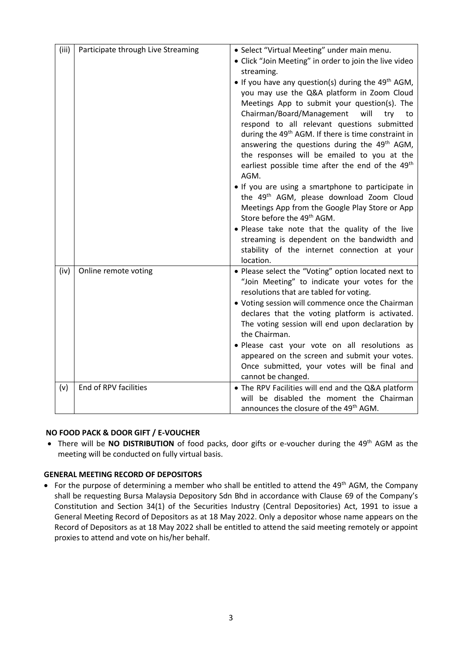| (iii) | Participate through Live Streaming | • Select "Virtual Meeting" under main menu.<br>• Click "Join Meeting" in order to join the live video<br>streaming.<br>• If you have any question(s) during the $49th$ AGM,<br>you may use the Q&A platform in Zoom Cloud<br>Meetings App to submit your question(s). The<br>Chairman/Board/Management<br>will<br>try<br>to<br>respond to all relevant questions submitted<br>during the 49 <sup>th</sup> AGM. If there is time constraint in<br>answering the questions during the 49 <sup>th</sup> AGM,<br>the responses will be emailed to you at the<br>earliest possible time after the end of the 49 <sup>th</sup><br>AGM.<br>. If you are using a smartphone to participate in<br>the 49 <sup>th</sup> AGM, please download Zoom Cloud<br>Meetings App from the Google Play Store or App<br>Store before the 49 <sup>th</sup> AGM.<br>. Please take note that the quality of the live<br>streaming is dependent on the bandwidth and<br>stability of the internet connection at your<br>location. |
|-------|------------------------------------|----------------------------------------------------------------------------------------------------------------------------------------------------------------------------------------------------------------------------------------------------------------------------------------------------------------------------------------------------------------------------------------------------------------------------------------------------------------------------------------------------------------------------------------------------------------------------------------------------------------------------------------------------------------------------------------------------------------------------------------------------------------------------------------------------------------------------------------------------------------------------------------------------------------------------------------------------------------------------------------------------------|
| (iv)  | Online remote voting               | . Please select the "Voting" option located next to<br>"Join Meeting" to indicate your votes for the<br>resolutions that are tabled for voting.<br>• Voting session will commence once the Chairman<br>declares that the voting platform is activated.<br>The voting session will end upon declaration by<br>the Chairman.<br>· Please cast your vote on all resolutions as<br>appeared on the screen and submit your votes.<br>Once submitted, your votes will be final and<br>cannot be changed.                                                                                                                                                                                                                                                                                                                                                                                                                                                                                                       |
| (v)   | End of RPV facilities              | • The RPV Facilities will end and the Q&A platform<br>will be disabled the moment the Chairman<br>announces the closure of the 49 <sup>th</sup> AGM.                                                                                                                                                                                                                                                                                                                                                                                                                                                                                                                                                                                                                                                                                                                                                                                                                                                     |

# **NO FOOD PACK & DOOR GIFT / E-VOUCHER**

• There will be NO DISTRIBUTION of food packs, door gifts or e-voucher during the 49<sup>th</sup> AGM as the meeting will be conducted on fully virtual basis.

# **GENERAL MEETING RECORD OF DEPOSITORS**

• For the purpose of determining a member who shall be entitled to attend the 49<sup>th</sup> AGM, the Company shall be requesting Bursa Malaysia Depository Sdn Bhd in accordance with Clause 69 of the Company's Constitution and Section 34(1) of the Securities Industry (Central Depositories) Act, 1991 to issue a General Meeting Record of Depositors as at 18 May 2022. Only a depositor whose name appears on the Record of Depositors as at 18 May 2022 shall be entitled to attend the said meeting remotely or appoint proxies to attend and vote on his/her behalf.